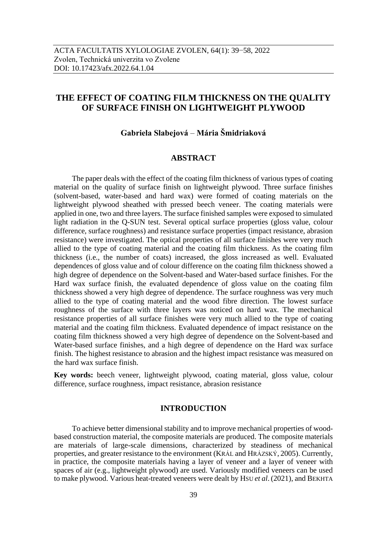# **THE EFFECT OF COATING FILM THICKNESS ON THE QUALITY OF SURFACE FINISH ON LIGHTWEIGHT PLYWOOD**

## **Gabriela Slabejová** – **Mária Šmidriaková**

## **ABSTRACT**

The paper deals with the effect of the coating film thickness of various types of coating material on the quality of surface finish on lightweight plywood. Three surface finishes (solvent-based, water-based and hard wax) were formed of coating materials on the lightweight plywood sheathed with pressed beech veneer. The coating materials were applied in one, two and three layers. The surface finished samples were exposed to simulated light radiation in the Q-SUN test. Several optical surface properties (gloss value, colour difference, surface roughness) and resistance surface properties (impact resistance, abrasion resistance) were investigated. The optical properties of all surface finishes were very much allied to the type of coating material and the coating film thickness. As the coating film thickness (i.e., the number of coats) increased, the gloss increased as well. Evaluated dependences of gloss value and of colour difference on the coating film thickness showed a high degree of dependence on the Solvent-based and Water-based surface finishes. For the Hard wax surface finish, the evaluated dependence of gloss value on the coating film thickness showed a very high degree of dependence. The surface roughness was very much allied to the type of coating material and the wood fibre direction. The lowest surface roughness of the surface with three layers was noticed on hard wax. The mechanical resistance properties of all surface finishes were very much allied to the type of coating material and the coating film thickness. Evaluated dependence of impact resistance on the coating film thickness showed a very high degree of dependence on the Solvent-based and Water-based surface finishes, and a high degree of dependence on the Hard wax surface finish. The highest resistance to abrasion and the highest impact resistance was measured on the hard wax surface finish.

**Key words:** beech veneer, lightweight plywood, coating material, gloss value, colour difference, surface roughness, impact resistance, abrasion resistance

## **INTRODUCTION**

To achieve better dimensional stability and to improve mechanical properties of woodbased construction material, the composite materials are produced. The composite materials are materials of large-scale dimensions, characterized by steadiness of mechanical properties, and greater resistance to the environment (KRÁL and HRÁZSKÝ, 2005). Currently, in practice, the composite materials having a layer of veneer and a layer of veneer with spaces of air (e.g., lightweight plywood) are used. Variously modified veneers can be used to make plywood. Various heat-treated veneers were dealt by HSU *et al*. (2021), and BEKHTA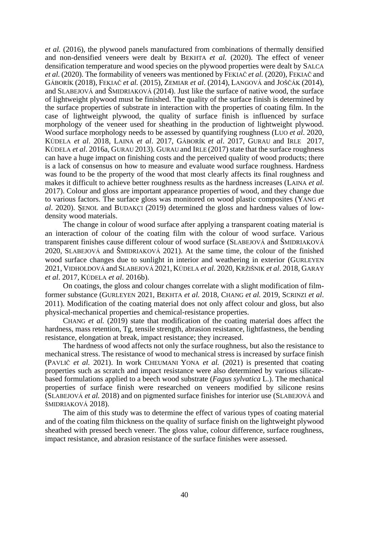*et al.* (2016), the plywood panels manufactured from combinations of thermally densified and non-densified veneers were dealt by BEKHTA *et al.* (2020). The effect of veneer densification temperature and wood species on the plywood properties were dealt by SALCA *et al.* (2020). The formability of veneers was mentioned by FEKIAČ *et al.* (2020), FEKIAČ and GÁBORÍK (2018), FEKIAČ *et al.* (2015), ZEMIAR *et al*. (2014), LANGOVÁ and JOŠČÁK (2014), and SLABEJOVÁ and ŠMIDRIAKOVÁ (2014). Just like the surface of native wood, the surface of lightweight plywood must be finished. The quality of the surface finish is determined by the surface properties of substrate in interaction with the properties of coating film. In the case of lightweight plywood, the quality of surface finish is influenced by surface morphology of the veneer used for sheathing in the production of lightweight plywood. Wood surface morphology needs to be assessed by quantifying roughness (LUO *et al*. 2020, KÚDELA *et al*. 2018, LAINA *et al*. 2017, GÁBORÍK *et al*. 2017, GURAU and IRLE 2017, KÚDELA *et al*. 2016a, GURAU 2013). GURAU and IRLE (2017) state that the surface roughness can have a huge impact on finishing costs and the perceived quality of wood products; there is a lack of consensus on how to measure and evaluate wood surface roughness. Hardness was found to be the property of the wood that most clearly affects its final roughness and makes it difficult to achieve better roughness results as the hardness increases (LAINA *et al.* 2017). Colour and gloss are important appearance properties of wood, and they change due to various factors. The surface gloss was monitored on wood plastic composites (YANG *et al*. 2020). ŞENOL and BUDAKÇI (2019) determined the gloss and hardness values of lowdensity wood materials.

The change in colour of wood surface after applying a transparent coating material is an interaction of colour of the coating film with the colour of wood surface. Various transparent finishes cause different colour of wood surface (SLABEJOVÁ and ŠMIDRIAKOVÁ 2020, SLABEJOVÁ and ŠMIDRIAKOVÁ 2021). At the same time, the colour of the finished wood surface changes due to sunlight in interior and weathering in exterior (GURLEYEN 2021, VIDHOLDOVÁ and SLABEJOVÁ 2021, KÚDELA *et al.* 2020, KRŽIŠNIK *et al*. 2018, GARAY *et al*. 2017, KÚDELA *et al*. 2016b).

On coatings, the gloss and colour changes correlate with a slight modification of filmformer substance (GURLEYEN 2021, BEKHTA *et al.* 2018, CHANG *et al.* 2019, SCRINZI *et al*. 2011). Modification of the coating material does not only affect colour and gloss, but also physical-mechanical properties and chemical-resistance properties.

CHANG *et al.* (2019) state that modification of the coating material does affect the hardness, mass retention, Tg, tensile strength, abrasion resistance, lightfastness, the bending resistance, elongation at break, impact resistance; they increased.

The hardness of wood affects not only the surface roughness, but also the resistance to mechanical stress. The resistance of wood to mechanical stress is increased by surface finish (PAVLIČ *et al.* 2021). In work CHEUMANI YONA *et al.* (2021) is presented that coating properties such as scratch and impact resistance were also determined by various silicatebased formulations applied to a beech wood substrate (*Fagus sylvatica* L.). The mechanical properties of surface finish were researched on veneers modified by silicone resins (SLABEJOVÁ *et al.* 2018) and on pigmented surface finishes for interior use (SLABEJOVÁ and ŠMIDRIAKOVÁ 2018).

The aim of this study was to determine the effect of various types of coating material and of the coating film thickness on the quality of surface finish on the lightweight plywood sheathed with pressed beech veneer. The gloss value, colour difference, surface roughness, impact resistance, and abrasion resistance of the surface finishes were assessed.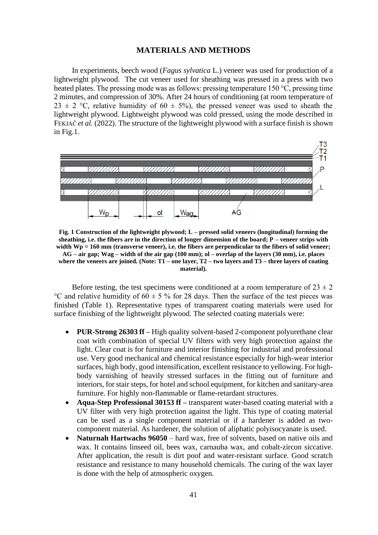## **MATERIALS AND METHODS**

In experiments, beech wood (*Fagus sylvatica* L.) veneer was used for production of a lightweight plywood. The cut veneer used for sheathing was pressed in a press with two heated plates. The pressing mode was as follows: pressing temperature 150 °C, pressing time 2 minutes, and compression of 30%. After 24 hours of conditioning (at room temperature of 23  $\pm$  2 °C, relative humidity of 60  $\pm$  5%), the pressed veneer was used to sheath the lightweight plywood. Lightweight plywood was cold pressed, using the mode described in FEKIAC *et al.* (2022). The structure of the lightweight plywood with a surface finish is shown in Fig.1.



**Fig. 1 Construction of the lightweight plywood; L – pressed solid veneers (longitudinal) forming the sheathing, i.e. the fibers are in the direction of longer dimension of the board; P – veneer strips with width Wp = 160 mm (transverse veneer), i.e. the fibers are perpendicular to the fibers of solid veneer; AG – air gap; Wag – width of the air gap (100 mm); ol – overlap of the layers (30 mm), i.e. places where the veneers are joined. (Note: T1 – one layer, T2 – two layers and T3 – three layers of coating material).**

Before testing, the test specimens were conditioned at a room temperature of  $23 \pm 2$ °C and relative humidity of  $60 \pm 5$  % for 28 days. Then the surface of the test pieces was finished (Table 1). Representative types of transparent coating materials were used for surface finishing of the lightweight plywood. The selected coating materials were:

- **PUR-Strong 26303 ff –** High quality solvent-based 2-component polyurethane clear coat with combination of special UV filters with very high protection against the light. Clear coat is for furniture and interior finishing for industrial and professional use. Very good mechanical and chemical resistance especially for high-wear interior surfaces, high body, good intensification, excellent resistance to yellowing. For highbody varnishing of heavily stressed surfaces in the fitting out of furniture and interiors, for stair steps, for hotel and school equipment, for kitchen and sanitary-area furniture. For highly non-flammable or flame-retardant structures.
- **Aqua-Step Professional 30153 ff –** transparent water-based coating material with a UV filter with very high protection against the light. This type of coating material can be used as a single component material or if a hardener is added as twocomponent material. As hardener, the solution of aliphatic polyisocyanate is used.
- **Naturnah Hartwachs 96050** hard wax, free of solvents, based on native oils and wax. It contains linseed oil, bees wax, carnauba wax, and cobalt-zircon siccative. After application, the result is dirt poof and water-resistant surface. Good scratch resistance and resistance to many household chemicals. The curing of the wax layer is done with the help of atmospheric oxygen.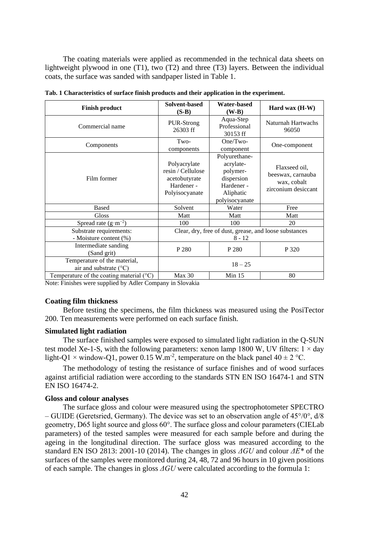The coating materials were applied as recommended in the technical data sheets on lightweight plywood in one (T1), two (T2) and three (T3) layers. Between the individual coats, the surface was sanded with sandpaper listed in Table 1.

| <b>Finish product</b>                                           | Solvent-based<br>$(S-B)$                                                           | <b>Water-based</b><br>$(W-B)$                                                                     | Hard wax $(H-W)$                                                         |  |  |
|-----------------------------------------------------------------|------------------------------------------------------------------------------------|---------------------------------------------------------------------------------------------------|--------------------------------------------------------------------------|--|--|
| Commercial name                                                 | PUR-Strong<br>26303 ff                                                             | Aqua-Step<br>Professional<br>30153 ff                                                             | Naturnah Hartwachs<br>96050                                              |  |  |
| Components                                                      | Two-<br>components                                                                 | $One/Two-$<br>component                                                                           | One-component                                                            |  |  |
| Film former                                                     | Polyacrylate<br>resin / Cellulose<br>acetobutyrate<br>Hardener -<br>Polyisocyanate | Polyurethane-<br>acrylate-<br>polymer-<br>dispersion<br>Hardener -<br>Aliphatic<br>polyisocyanate | Flaxseed oil,<br>beeswax, carnauba<br>wax, cobalt<br>zirconium desiccant |  |  |
| <b>Based</b>                                                    | Solvent                                                                            | Water                                                                                             | Free                                                                     |  |  |
| <b>Gloss</b>                                                    | Matt                                                                               | Matt                                                                                              | Matt                                                                     |  |  |
| Spread rate $(g \cdot m^{-2})$                                  | 100                                                                                | 100                                                                                               | 20                                                                       |  |  |
| Substrate requirements:<br>- Moisture content (%)               |                                                                                    | Clear, dry, free of dust, grease, and loose substances<br>$8 - 12$                                |                                                                          |  |  |
| Intermediate sanding<br>(Sand grit)                             | P 280                                                                              | P 280                                                                                             | P 320                                                                    |  |  |
| Temperature of the material,<br>air and substrate $(^{\circ}C)$ | $18 - 25$                                                                          |                                                                                                   |                                                                          |  |  |
| Temperature of the coating material $(^{\circ}C)$               | Max 30                                                                             | Min 15                                                                                            | 80                                                                       |  |  |

**Tab. 1 Characteristics of surface finish products and their application in the experiment.**

Note: Finishes were supplied by Adler Company in Slovakia

### **Coating film thickness**

Before testing the specimens, the film thickness was measured using the PosiTector 200. Ten measurements were performed on each surface finish.

### **Simulated light radiation**

The surface finished samples were exposed to simulated light radiation in the Q-SUN test model Xe-1-S, with the following parameters: xenon lamp 1800 W, UV filters:  $1 \times day$ light-Q1  $\times$  window-Q1, power 0.15 W.m<sup>-2</sup>, temperature on the black panel 40  $\pm$  2 °C.

The methodology of testing the resistance of surface finishes and of wood surfaces against artificial radiation were according to the standards STN EN ISO 16474-1 and STN EN ISO 16474-2.

### **Gloss and colour analyses**

The surface gloss and colour were measured using the spectrophotometer SPECTRO – GUIDE (Geretsried, Germany). The device was set to an observation angle of 45°/0°, d/8 geometry, D65 light source and gloss 60°. The surface gloss and colour parameters (CIELab parameters) of the tested samples were measured for each sample before and during the ageing in the longitudinal direction. The surface gloss was measured according to the standard EN ISO 2813: 2001-10 (2014). The changes in gloss *ΔGU* and colour *ΔE\** of the surfaces of the samples were monitored during 24, 48, 72 and 96 hours in 10 given positions of each sample. The changes in gloss *ΔGU* were calculated according to the formula 1: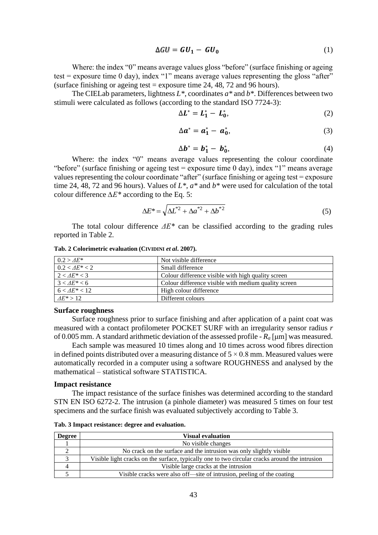$$
\Delta GU = GU_1 - GU_0 \tag{1}
$$

Where: the index "0" means average values gloss "before" (surface finishing or ageing test = exposure time  $\theta$  day), index "1" means average values representing the gloss "after" (surface finishing or ageing test = exposure time 24, 48, 72 and 96 hours).

The CIELab parameters, lightness *L\**, coordinates *a\** and *b\**. Differences between two stimuli were calculated as follows (according to the standard ISO 7724-3):

$$
\Delta L^* = L_1^* - L_0^*,\tag{2}
$$

$$
\Delta a^* = a_1^* - a_0^*,\tag{3}
$$

$$
\Delta \boldsymbol{b}^* = \boldsymbol{b}_1^* - \boldsymbol{b}_0^*,\tag{4}
$$

Where: the index "0" means average values representing the colour coordinate "before" (surface finishing or ageing test = exposure time  $\theta$  day), index "1" means average values representing the colour coordinate "after" (surface finishing or ageing test = exposure time 24, 48, 72 and 96 hours). Values of *L\**, *a\** and *b\** were used for calculation of the total colour difference *∆E\** according to the Eq. 5:

$$
\Delta E^* = \sqrt{\Delta L^{*2} + \Delta a^{*2} + \Delta b^{*2}}
$$
 (5)

The total colour difference *ΔE\** can be classified according to the grading rules reported in Table 2.

| $0.2 > AE^*$     | Not visible difference                               |
|------------------|------------------------------------------------------|
| $0.2 < AE^* < 2$ | Small difference                                     |
| $2 < AE^* < 3$   | Colour difference visible with high quality screen   |
| $3 < AE^* < 6$   | Colour difference visible with medium quality screen |
| $6 < AE^* < 12$  | High colour difference                               |
| $AE^* > 12$      | Different colours                                    |

**Tab. 2 Colorimetric evaluation (CIVIDINI** *et al***. 2007).**

## **Surface roughness**

Surface roughness prior to surface finishing and after application of a paint coat was measured with a contact profilometer POCKET SURF with an irregularity sensor radius *r* of 0.005 mm. A standard arithmetic deviation of the assessed profile - *R<sup>a</sup>* [μm] was measured.

Each sample was measured 10 times along and 10 times across wood fibres direction in defined points distributed over a measuring distance of  $5 \times 0.8$  mm. Measured values were automatically recorded in a computer using a software ROUGHNESS and analysed by the mathematical – statistical software STATISTICA.

#### **Impact resistance**

The impact resistance of the surface finishes was determined according to the standard STN EN ISO 6272-2. The intrusion (a pinhole diameter) was measured 5 times on four test specimens and the surface finish was evaluated subjectively according to Table 3.

**Tab. 3 Impact resistance: degree and evaluation.**

| <b>Degree</b> | <b>Visual evaluation</b>                                                                       |
|---------------|------------------------------------------------------------------------------------------------|
|               | No visible changes                                                                             |
|               | No crack on the surface and the intrusion was only slightly visible                            |
|               | Visible light cracks on the surface, typically one to two circular cracks around the intrusion |
|               | Visible large cracks at the intrusion                                                          |
|               | Visible cracks were also off—site of intrusion, peeling of the coating                         |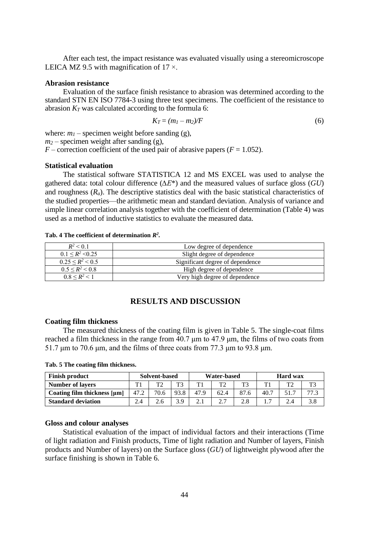After each test, the impact resistance was evaluated visually using a stereomicroscope LEICA MZ 9.5 with magnification of  $17 \times$ .

## **Abrasion resistance**

Evaluation of the surface finish resistance to abrasion was determined according to the standard STN EN ISO 7784-3 using three test specimens. The coefficient of the resistance to abrasion  $K_T$  was calculated according to the formula 6:

$$
K_T = (m_1 - m_2)/F \tag{6}
$$

where:  $m_l$  – specimen weight before sanding (g),

 $m_2$  – specimen weight after sanding (g),

 $F$  – correction coefficient of the used pair of abrasive papers ( $F = 1.052$ ).

## **Statistical evaluation**

The statistical software STATISTICA 12 and MS EXCEL was used to analyse the gathered data: total colour difference (*∆E*\*) and the measured values of surface gloss (*GU*) and roughness (*Ra*). The descriptive statistics deal with the basic statistical characteristics of the studied properties—the arithmetic mean and standard deviation. Analysis of variance and simple linear correlation analysis together with the coefficient of determination (Table 4) was used as a method of inductive statistics to evaluate the measured data.

#### **Tab. 4 The coefficient of determination** *R 2 .*

| $R^2$ < 0.1              | Low degree of dependence         |
|--------------------------|----------------------------------|
| $0.1 \leq R^2 \leq 0.25$ | Slight degree of dependence      |
| $0.25 \leq R^2 \leq 0.5$ | Significant degree of dependence |
| $0.5 \leq R^2 \leq 0.8$  | High degree of dependence        |
| $0.8 \leq R^2 \leq 1$    | Very high degree of dependence   |

## **RESULTS AND DISCUSSION**

## **Coating film thickness**

The measured thickness of the coating film is given in Table 5. The single-coat films reached a film thickness in the range from 40.7 μm to 47.9 μm, the films of two coats from 51.7 μm to 70.6 μm, and the films of three coats from 77.3 μm to 93.8 μm.

| <b>Finish product</b>            | Solvent-based |      | Water-based |      |      | <b>Hard</b> wax |      |                |     |
|----------------------------------|---------------|------|-------------|------|------|-----------------|------|----------------|-----|
| <b>Number of layers</b>          | T1            | ጥኅ   | T3          | T1   | T2   | T <sup>2</sup>  | T 1  | T <sub>2</sub> | T3  |
| Coating film thickness $[\mu m]$ | 47.2          | 70.6 | 93.8        | 47.9 | 62.4 | 87.6            | 40.7 |                |     |
| <b>Standard deviation</b>        | 2.4           | 2.6  | 3.9         |      | 2.7  | 2.8             | —    | 2.4            | 3.8 |

**Tab. 5 The coating film thickness.**

## **Gloss and colour analyses**

Statistical evaluation of the impact of individual factors and their interactions (Time of light radiation and Finish products, Time of light radiation and Number of layers, Finish products and Number of layers) on the Surface gloss (*GU*) of lightweight plywood after the surface finishing is shown in Table 6.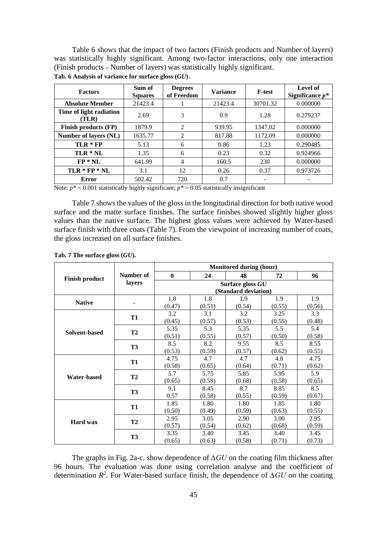Table 6 shows that the impact of two factors (Finish products and Number of layers) was statistically highly significant. Among two-factor interactions, only one interaction (Finish products **–** Number of layers) was statistically highly significant.

| <b>Factors</b>                   | Sum of<br><b>Squares</b> | <b>Degrees</b><br>of Freedom | <b>Variance</b> | <b>F-test</b> | Level of<br>Significance $p^*$ |
|----------------------------------|--------------------------|------------------------------|-----------------|---------------|--------------------------------|
| <b>Absolute Member</b>           | 21423.4                  |                              | 21423.4         | 30701.32      | 0.000000                       |
| Time of light radiation<br>(TLR) | 2.69                     | 3                            | 0.9             | 1.28          | 0.279237                       |
| Finish products (FP)             | 1879.9                   | 2                            | 939.95          | 1347.02       | 0.000000                       |
| Number of layers (NL)            | 1635.77                  | 2                            | 817.88          | 1172.09       | 0.000000                       |
| $TLR * FP$                       | 5.13                     | 6                            | 0.86            | 1.23          | 0.290485                       |
| TLR * NL                         | 1.35                     | 6                            | 0.23            | 0.32          | 0.924966                       |
| $FP * NL$                        | 641.99                   | $\overline{4}$               | 160.5           | 230           | 0.000000                       |
| $TLR * FP * NL$                  | 3.1                      | 12                           | 0.26            | 0.37          | 0.973726                       |
| <b>Error</b>                     | 502.42                   | 720                          | 0.7             |               |                                |

**Tab. 6 Analysis of variance for surface gloss (***GU***)**.

Note:  $p^*$  < 0.001 statistically highly significant;  $p^*$  > 0.05 statistically insignificant

Table 7 shows the values of the gloss in the longitudinal direction for both native wood surface and the matte surface finishes. The surface finishes showed slightly higher gloss values than the native surface. The highest gloss values were achieved by Water-based surface finish with three coats (Table 7). From the viewpoint of increasing number of coats, the gloss increased on all surface finishes.

|                       |           |              | <b>Monitored during (hour)</b><br>24<br>48<br>72 |                                                                                      |                                                                                                  |         |
|-----------------------|-----------|--------------|--------------------------------------------------|--------------------------------------------------------------------------------------|--------------------------------------------------------------------------------------------------|---------|
| <b>Finish product</b> | Number of | $\mathbf{0}$ |                                                  |                                                                                      |                                                                                                  | 96      |
|                       | layers    |              |                                                  | Surface gloss GU                                                                     |                                                                                                  |         |
|                       |           |              |                                                  |                                                                                      |                                                                                                  |         |
| <b>Native</b>         |           | 1.8          | 1.8                                              | 1.9                                                                                  | 1.9                                                                                              | 1.9     |
|                       |           | (0.47)       | (0.51)                                           | (0.54)                                                                               | (0.55)                                                                                           | (0, 56) |
|                       |           | 3.2          | 3.1                                              | 3.2                                                                                  | 3.25                                                                                             | 3.3     |
|                       | <b>T1</b> | (0.45)       | (0.57)                                           | (0.53)                                                                               | (0.55)                                                                                           | (0.48)  |
|                       |           | 5.35         | 5.3                                              | 5.35                                                                                 | 5.5                                                                                              | 5.4     |
| Solvent-based         | <b>T2</b> | (0.51)       | (0.55)                                           | (0.57)                                                                               | (0.50)                                                                                           | (0.58)  |
|                       | <b>T3</b> | 8.5          | 8.2                                              | 9.55                                                                                 | 8.5                                                                                              | 8.55    |
|                       |           | (0.53)       | (0.59)                                           | (0.57)                                                                               | (0.62)                                                                                           | (0.55)  |
|                       | <b>T1</b> | 4.75         | 4.7                                              | 4.7                                                                                  | 4.8                                                                                              | 4.75    |
|                       |           | (0.58)       | (0.65)                                           | (0.64)                                                                               | (0.71)<br>5.95<br>(0.58)<br>8.85<br>(0.59)<br>1.85<br>(0.63)<br>3.00<br>(0.68)<br>3.40<br>(0.71) | (0.62)  |
| <b>Water-based</b>    | <b>T2</b> | 5.7          | 5.75                                             | 5.85                                                                                 |                                                                                                  | 5.9     |
|                       |           | (0.65)       | (0.59)                                           | (0.68)                                                                               |                                                                                                  | (0.65)  |
|                       | <b>T3</b> | 9.1          | 8.45                                             | 8.7                                                                                  |                                                                                                  | 8.5     |
|                       |           | 0.57         | (0.58)                                           | (Standard deviation)<br>(0.55)<br>1.80<br>(0.59)<br>2.90<br>(0.62)<br>3.45<br>(0.58) |                                                                                                  | (0.67)  |
|                       |           | 1.85         | 1.80                                             |                                                                                      |                                                                                                  | 1.80    |
|                       | <b>T1</b> | (0.50)       | (0.49)                                           |                                                                                      |                                                                                                  | (0.55)  |
|                       | <b>T2</b> | 2.95         | 3.05                                             |                                                                                      |                                                                                                  | 2.95    |
| <b>Hard wax</b>       |           | (0.57)       | (0.54)                                           |                                                                                      |                                                                                                  | (0.59)  |
|                       | <b>T3</b> | 3.35         | 3.40                                             |                                                                                      |                                                                                                  | 3.45    |
|                       |           | (0.65)       | (0.63)                                           |                                                                                      |                                                                                                  | (0.73)  |

**Tab. 7 The surface gloss (***GU***).**

The graphs in Fig. 2a-c. show dependence of *∆GU* on the coating film thickness after 96 hours. The evaluation was done using correlation analyse and the coefficient of determination  $R^2$ . For Water-based surface finish, the dependence of  $\Delta GU$  on the coating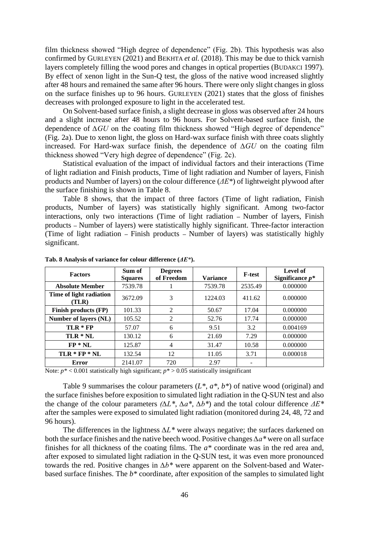film thickness showed "High degree of dependence" (Fig. 2b). This hypothesis was also confirmed by GURLEYEN (2021) and BEKHTA *et al.* (2018). This may be due to thick varnish layers completely filling the wood pores and changes in optical properties (BUDAKCI 1997). By effect of xenon light in the Sun-Q test, the gloss of the native wood increased slightly after 48 hours and remained the same after 96 hours. There were only slight changes in gloss on the surface finishes up to 96 hours. GURLEYEN (2021) states that the gloss of finishes decreases with prolonged exposure to light in the accelerated test.

On Solvent-based surface finish, a slight decrease in gloss was observed after 24 hours and a slight increase after 48 hours to 96 hours. For Solvent-based surface finish, the dependence of *∆GU* on the coating film thickness showed "High degree of dependence" (Fig. 2a). Due to xenon light, the gloss on Hard-wax surface finish with three coats slightly increased. For Hard-wax surface finish, the dependence of *∆GU* on the coating film thickness showed "Very high degree of dependence" (Fig. 2c).

Statistical evaluation of the impact of individual factors and their interactions (Time of light radiation and Finish products, Time of light radiation and Number of layers, Finish products and Number of layers) on the colour difference (*ΔE\**) of lightweight plywood after the surface finishing is shown in Table 8.

Table 8 shows, that the impact of three factors (Time of light radiation, Finish products, Number of layers) was statistically highly significant. Among two-factor interactions, only two interactions (Time of light radiation **–** Number of layers, Finish products **–** Number of layers) were statistically highly significant. Three-factor interaction (Time of light radiation **–** Finish products **–** Number of layers) was statistically highly significant.

| <b>Factors</b>                   | Sum of<br><b>Squares</b> | <b>Degrees</b><br>of Freedom | <b>Variance</b> | <b>F-test</b> | Level of<br>Significance $p^*$ |
|----------------------------------|--------------------------|------------------------------|-----------------|---------------|--------------------------------|
| <b>Absolute Member</b>           | 7539.78                  |                              | 7539.78         | 2535.49       | 0.000000                       |
| Time of light radiation<br>(TLR) | 3672.09                  | 3                            | 1224.03         | 411.62        | 0.000000                       |
| Finish products (FP)             | 101.33                   | 2                            | 50.67           | 17.04         | 0.000000                       |
| Number of layers (NL)            | 105.52                   | 2                            | 52.76           | 17.74         | 0.000000                       |
| $TLR * FP$                       | 57.07                    | 6                            | 9.51            | 3.2           | 0.004169                       |
| TLR * NL                         | 130.12                   | 6                            | 21.69           | 7.29          | 0.000000                       |
| $FP * NL$                        | 125.87                   | $\overline{4}$               | 31.47           | 10.58         | 0.000000                       |
| $TLR * FP * NL$                  | 132.54                   | 12                           | 11.05           | 3.71          | 0.000018                       |
| Error                            | 2141.07                  | 720                          | 2.97            |               |                                |

**Tab. 8 Analysis of variance for colour difference (***ΔE\****).**

Note:  $p^*$  < 0.001 statistically high significant;  $p^*$  > 0.05 statistically insignificant

Table 9 summarises the colour parameters (*L\**, *a\**, *b\**) of native wood (original) and the surface finishes before exposition to simulated light radiation in the Q-SUN test and also the change of the colour parameters *(∆L\**, *∆a\**, *∆b\**) and the total colour difference *ΔE\** after the samples were exposed to simulated light radiation (monitored during 24, 48, 72 and 96 hours).

The differences in the lightness *∆L\** were always negative; the surfaces darkened on both the surface finishes and the native beech wood. Positive changes *∆a\** were on all surface finishes for all thickness of the coating films. The *a\** coordinate was in the red area and, after exposed to simulated light radiation in the Q-SUN test, it was even more pronounced towards the red. Positive changes in *∆b\** were apparent on the Solvent-based and Waterbased surface finishes. The *b\** coordinate, after exposition of the samples to simulated light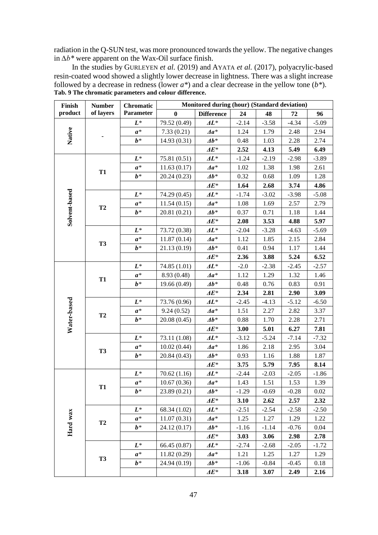radiation in the Q-SUN test, was more pronounced towards the yellow. The negative changes in *∆b\** were apparent on the Wax-Oil surface finish.

| Finish                  | <b>Number</b> | <b>Chromatic</b>                                                                                                                                                                                                                                                                                                                                                                                                                                                                                                                                                                                                                                                                                                                                                                                                                                                                                                                                                                                                                                                                                                                                                                                                                                                                                                                                                                                               | Monitored during (hour) (Standard deviation) |                                   |         |         |         |         |  |  |
|-------------------------|---------------|----------------------------------------------------------------------------------------------------------------------------------------------------------------------------------------------------------------------------------------------------------------------------------------------------------------------------------------------------------------------------------------------------------------------------------------------------------------------------------------------------------------------------------------------------------------------------------------------------------------------------------------------------------------------------------------------------------------------------------------------------------------------------------------------------------------------------------------------------------------------------------------------------------------------------------------------------------------------------------------------------------------------------------------------------------------------------------------------------------------------------------------------------------------------------------------------------------------------------------------------------------------------------------------------------------------------------------------------------------------------------------------------------------------|----------------------------------------------|-----------------------------------|---------|---------|---------|---------|--|--|
| product                 | of layers     | Parameter                                                                                                                                                                                                                                                                                                                                                                                                                                                                                                                                                                                                                                                                                                                                                                                                                                                                                                                                                                                                                                                                                                                                                                                                                                                                                                                                                                                                      | $\bf{0}$                                     | <b>Difference</b>                 | 24      | 48      | 72      | 96      |  |  |
|                         |               | $L^*$                                                                                                                                                                                                                                                                                                                                                                                                                                                                                                                                                                                                                                                                                                                                                                                                                                                                                                                                                                                                                                                                                                                                                                                                                                                                                                                                                                                                          | 79.52 (0.49)                                 | $\boldsymbol{4L^*}$               | $-2.14$ | $-3.58$ | $-4.34$ | $-5.09$ |  |  |
| Native                  |               | $a^*$                                                                                                                                                                                                                                                                                                                                                                                                                                                                                                                                                                                                                                                                                                                                                                                                                                                                                                                                                                                                                                                                                                                                                                                                                                                                                                                                                                                                          | 7.33(0.21)                                   | $\Delta a^*$                      | 1.24    | 1.79    | 2.48    | 2.94    |  |  |
|                         |               | $b^*$                                                                                                                                                                                                                                                                                                                                                                                                                                                                                                                                                                                                                                                                                                                                                                                                                                                                                                                                                                                                                                                                                                                                                                                                                                                                                                                                                                                                          | 14.93 (0.31)                                 | $\boldsymbol{\varDelta b^*}$      | 0.48    | 1.03    | 2.28    | 2.74    |  |  |
|                         |               |                                                                                                                                                                                                                                                                                                                                                                                                                                                                                                                                                                                                                                                                                                                                                                                                                                                                                                                                                                                                                                                                                                                                                                                                                                                                                                                                                                                                                |                                              | $\boldsymbol{\varDelta} E^*$      | 2.52    | 4.13    | 5.49    | 6.49    |  |  |
|                         |               | Tab. 9 The chromatic parameters and colour difference.<br>$L^*$<br>$\boldsymbol{4L^*}$<br>75.81 (0.51)<br>$\Delta a^*$<br>11.63(0.17)<br>$a^*$<br><b>T1</b><br>$b*$<br>20.24(0.23)<br>$\boldsymbol{\varDelta b^*}$<br>$\boldsymbol{\varDelta} E^*$<br>$\mathbf{4}L^*$<br>$L^*$<br>74.29 (0.45)<br>$\Delta a^*$<br>$a^*$<br>11.54(0.15)<br><b>T2</b><br>$b^*$<br>$\boldsymbol{\varDelta b^*}$<br>20.81 (0.21)<br>$\boldsymbol{\Delta E^*}$<br>$L^*$<br>73.72 (0.38)<br>$\boldsymbol{A}$<br>$\Delta a^*$<br>$a^*$<br>11.87(0.14)<br><b>T3</b><br>$b*$<br>21.13 (0.19)<br>$\boldsymbol{\varDelta b^*}$<br>0.41<br>$\boldsymbol{\varDelta} E^*$<br>$L^*$<br>$\boldsymbol{4L^*}$<br>74.85 (1.01)<br>$-2.0$<br>$a^*$<br>8.93 (0.48)<br>$\Delta a^*$<br><b>T1</b><br>$b^*$<br>$\boldsymbol{\varDelta b^*}$<br>19.66 (0.49)<br>$\boldsymbol{\varDelta} E^*$<br>$L^*$<br>73.76 (0.96)<br>$\boldsymbol{AL^*}$<br>$a^*$<br>9.24(0.52)<br>$\Delta a^*$<br>1.51<br>T2<br>$b^*$<br>$\boldsymbol{\varDelta b^*}$<br>20.08 (0.45)<br>$\boldsymbol{\Delta E^*}$<br>$L^*$<br>$\boldsymbol{\Lambda}$ L*<br>73.11 (1.08)<br>10.02(0.44)<br>$\Delta a^*$<br>$a^*$<br><b>T3</b><br>$b*$<br>$\boldsymbol{\varDelta b^*}$<br>20.84 (0.43)<br>$\boldsymbol{\varDelta} E^*$<br>$L^*$<br>$\boldsymbol{4L^*}$<br>70.62(1.16)<br>$a^*$<br>$\Delta a^*$<br>10.67(0.36)<br><b>T1</b><br>$b^*$<br>$\boldsymbol{\varDelta b^*}$<br>23.89 (0.21) | $-1.24$                                      | $-2.19$                           | $-2.98$ | $-3.89$ |         |         |  |  |
|                         |               |                                                                                                                                                                                                                                                                                                                                                                                                                                                                                                                                                                                                                                                                                                                                                                                                                                                                                                                                                                                                                                                                                                                                                                                                                                                                                                                                                                                                                |                                              |                                   | 1.02    | 1.38    | 1.98    | 2.61    |  |  |
|                         |               |                                                                                                                                                                                                                                                                                                                                                                                                                                                                                                                                                                                                                                                                                                                                                                                                                                                                                                                                                                                                                                                                                                                                                                                                                                                                                                                                                                                                                |                                              |                                   | 0.32    | 0.68    | 1.09    | 1.28    |  |  |
|                         |               |                                                                                                                                                                                                                                                                                                                                                                                                                                                                                                                                                                                                                                                                                                                                                                                                                                                                                                                                                                                                                                                                                                                                                                                                                                                                                                                                                                                                                |                                              |                                   | 1.64    | 2.68    | 3.74    | 4.86    |  |  |
|                         |               |                                                                                                                                                                                                                                                                                                                                                                                                                                                                                                                                                                                                                                                                                                                                                                                                                                                                                                                                                                                                                                                                                                                                                                                                                                                                                                                                                                                                                |                                              |                                   | $-1.74$ | $-3.02$ | $-3.98$ | $-5.08$ |  |  |
|                         |               |                                                                                                                                                                                                                                                                                                                                                                                                                                                                                                                                                                                                                                                                                                                                                                                                                                                                                                                                                                                                                                                                                                                                                                                                                                                                                                                                                                                                                |                                              |                                   | 1.08    | 1.69    | 2.57    | 2.79    |  |  |
|                         |               |                                                                                                                                                                                                                                                                                                                                                                                                                                                                                                                                                                                                                                                                                                                                                                                                                                                                                                                                                                                                                                                                                                                                                                                                                                                                                                                                                                                                                |                                              |                                   | 0.37    | 0.71    | 1.18    | 1.44    |  |  |
| Solvent-based           |               |                                                                                                                                                                                                                                                                                                                                                                                                                                                                                                                                                                                                                                                                                                                                                                                                                                                                                                                                                                                                                                                                                                                                                                                                                                                                                                                                                                                                                |                                              |                                   | 2.08    | 3.53    | 4.88    | 5.97    |  |  |
|                         |               |                                                                                                                                                                                                                                                                                                                                                                                                                                                                                                                                                                                                                                                                                                                                                                                                                                                                                                                                                                                                                                                                                                                                                                                                                                                                                                                                                                                                                |                                              |                                   | $-2.04$ | $-3.28$ | $-4.63$ | $-5.69$ |  |  |
|                         |               |                                                                                                                                                                                                                                                                                                                                                                                                                                                                                                                                                                                                                                                                                                                                                                                                                                                                                                                                                                                                                                                                                                                                                                                                                                                                                                                                                                                                                |                                              |                                   | 1.12    | 1.85    | 2.15    | 2.84    |  |  |
|                         |               |                                                                                                                                                                                                                                                                                                                                                                                                                                                                                                                                                                                                                                                                                                                                                                                                                                                                                                                                                                                                                                                                                                                                                                                                                                                                                                                                                                                                                |                                              |                                   |         | 0.94    | 1.17    | 1.44    |  |  |
|                         |               |                                                                                                                                                                                                                                                                                                                                                                                                                                                                                                                                                                                                                                                                                                                                                                                                                                                                                                                                                                                                                                                                                                                                                                                                                                                                                                                                                                                                                |                                              |                                   | 2.36    | 3.88    | 5.24    | 6.52    |  |  |
|                         |               |                                                                                                                                                                                                                                                                                                                                                                                                                                                                                                                                                                                                                                                                                                                                                                                                                                                                                                                                                                                                                                                                                                                                                                                                                                                                                                                                                                                                                |                                              |                                   |         | $-2.38$ | $-2.45$ | $-2.57$ |  |  |
|                         |               |                                                                                                                                                                                                                                                                                                                                                                                                                                                                                                                                                                                                                                                                                                                                                                                                                                                                                                                                                                                                                                                                                                                                                                                                                                                                                                                                                                                                                |                                              |                                   | 1.12    | 1.29    | 1.32    | 1.46    |  |  |
|                         |               |                                                                                                                                                                                                                                                                                                                                                                                                                                                                                                                                                                                                                                                                                                                                                                                                                                                                                                                                                                                                                                                                                                                                                                                                                                                                                                                                                                                                                |                                              |                                   | 0.48    | 0.76    | 0.83    | 0.91    |  |  |
|                         |               |                                                                                                                                                                                                                                                                                                                                                                                                                                                                                                                                                                                                                                                                                                                                                                                                                                                                                                                                                                                                                                                                                                                                                                                                                                                                                                                                                                                                                |                                              |                                   | 2.34    | 2.81    | 2.90    | 3.09    |  |  |
|                         |               |                                                                                                                                                                                                                                                                                                                                                                                                                                                                                                                                                                                                                                                                                                                                                                                                                                                                                                                                                                                                                                                                                                                                                                                                                                                                                                                                                                                                                |                                              |                                   | $-2.45$ | $-4.13$ | $-5.12$ | $-6.50$ |  |  |
|                         |               |                                                                                                                                                                                                                                                                                                                                                                                                                                                                                                                                                                                                                                                                                                                                                                                                                                                                                                                                                                                                                                                                                                                                                                                                                                                                                                                                                                                                                |                                              |                                   |         | 2.27    | 2.82    | 3.37    |  |  |
|                         |               |                                                                                                                                                                                                                                                                                                                                                                                                                                                                                                                                                                                                                                                                                                                                                                                                                                                                                                                                                                                                                                                                                                                                                                                                                                                                                                                                                                                                                |                                              |                                   | 0.88    | 1.70    | 2.28    | 2.71    |  |  |
|                         |               |                                                                                                                                                                                                                                                                                                                                                                                                                                                                                                                                                                                                                                                                                                                                                                                                                                                                                                                                                                                                                                                                                                                                                                                                                                                                                                                                                                                                                |                                              |                                   | 3.00    | 5.01    | 6.27    | 7.81    |  |  |
|                         |               |                                                                                                                                                                                                                                                                                                                                                                                                                                                                                                                                                                                                                                                                                                                                                                                                                                                                                                                                                                                                                                                                                                                                                                                                                                                                                                                                                                                                                |                                              |                                   | $-3.12$ | $-5.24$ | $-7.14$ | $-7.32$ |  |  |
|                         |               |                                                                                                                                                                                                                                                                                                                                                                                                                                                                                                                                                                                                                                                                                                                                                                                                                                                                                                                                                                                                                                                                                                                                                                                                                                                                                                                                                                                                                |                                              |                                   | 1.86    | 2.18    | 2.95    | 3.04    |  |  |
|                         |               |                                                                                                                                                                                                                                                                                                                                                                                                                                                                                                                                                                                                                                                                                                                                                                                                                                                                                                                                                                                                                                                                                                                                                                                                                                                                                                                                                                                                                |                                              |                                   | 0.93    | 1.16    | 1.88    | 1.87    |  |  |
|                         |               |                                                                                                                                                                                                                                                                                                                                                                                                                                                                                                                                                                                                                                                                                                                                                                                                                                                                                                                                                                                                                                                                                                                                                                                                                                                                                                                                                                                                                |                                              |                                   | 3.75    | 5.79    | 7.95    | 8.14    |  |  |
|                         |               |                                                                                                                                                                                                                                                                                                                                                                                                                                                                                                                                                                                                                                                                                                                                                                                                                                                                                                                                                                                                                                                                                                                                                                                                                                                                                                                                                                                                                |                                              |                                   | $-2.44$ | $-2.03$ | $-2.05$ | $-1.86$ |  |  |
|                         |               |                                                                                                                                                                                                                                                                                                                                                                                                                                                                                                                                                                                                                                                                                                                                                                                                                                                                                                                                                                                                                                                                                                                                                                                                                                                                                                                                                                                                                |                                              |                                   | 1.43    | 1.51    | 1.53    | 1.39    |  |  |
|                         |               |                                                                                                                                                                                                                                                                                                                                                                                                                                                                                                                                                                                                                                                                                                                                                                                                                                                                                                                                                                                                                                                                                                                                                                                                                                                                                                                                                                                                                |                                              |                                   | $-1.29$ | $-0.69$ | $-0.28$ | 0.02    |  |  |
|                         |               |                                                                                                                                                                                                                                                                                                                                                                                                                                                                                                                                                                                                                                                                                                                                                                                                                                                                                                                                                                                                                                                                                                                                                                                                                                                                                                                                                                                                                |                                              | $\boldsymbol{A}\boldsymbol{E^*}$  | 3.10    | 2.62    | 2.57    | 2.32    |  |  |
|                         |               | $L^*$                                                                                                                                                                                                                                                                                                                                                                                                                                                                                                                                                                                                                                                                                                                                                                                                                                                                                                                                                                                                                                                                                                                                                                                                                                                                                                                                                                                                          | 68.34 (1.02)                                 | $\boldsymbol{AL^*}$               | $-2.51$ | $-2.54$ | $-2.58$ | $-2.50$ |  |  |
|                         |               | $a^*$                                                                                                                                                                                                                                                                                                                                                                                                                                                                                                                                                                                                                                                                                                                                                                                                                                                                                                                                                                                                                                                                                                                                                                                                                                                                                                                                                                                                          | 11.07(0.31)                                  | $\Delta a^*$                      | 1.25    | 1.27    | 1.29    | 1.22    |  |  |
|                         | T2            | $b^*$                                                                                                                                                                                                                                                                                                                                                                                                                                                                                                                                                                                                                                                                                                                                                                                                                                                                                                                                                                                                                                                                                                                                                                                                                                                                                                                                                                                                          | 24.12 (0.17)                                 | $\boldsymbol{\varDelta b^*}$      | $-1.16$ | $-1.14$ | $-0.76$ | 0.04    |  |  |
|                         |               |                                                                                                                                                                                                                                                                                                                                                                                                                                                                                                                                                                                                                                                                                                                                                                                                                                                                                                                                                                                                                                                                                                                                                                                                                                                                                                                                                                                                                |                                              | $\boldsymbol{A}\boldsymbol{E^*}$  | 3.03    | 3.06    | 2.98    | 2.78    |  |  |
|                         |               | $L^*$                                                                                                                                                                                                                                                                                                                                                                                                                                                                                                                                                                                                                                                                                                                                                                                                                                                                                                                                                                                                                                                                                                                                                                                                                                                                                                                                                                                                          | 66.45 (0.87)                                 | $\boldsymbol{4L^*}$               | $-2.74$ | $-2.68$ | $-2.05$ | $-1.72$ |  |  |
|                         |               | $a^*$                                                                                                                                                                                                                                                                                                                                                                                                                                                                                                                                                                                                                                                                                                                                                                                                                                                                                                                                                                                                                                                                                                                                                                                                                                                                                                                                                                                                          | 11.82(0.29)                                  | $\Delta a^*$                      | 1.21    | 1.25    | 1.27    | 1.29    |  |  |
| Water-based<br>Hard wax | <b>T3</b>     | $b^*$                                                                                                                                                                                                                                                                                                                                                                                                                                                                                                                                                                                                                                                                                                                                                                                                                                                                                                                                                                                                                                                                                                                                                                                                                                                                                                                                                                                                          | 24.94 (0.19)                                 | $\boldsymbol{\varDelta b^*}$      | $-1.06$ | $-0.84$ | $-0.45$ | 0.18    |  |  |
|                         |               |                                                                                                                                                                                                                                                                                                                                                                                                                                                                                                                                                                                                                                                                                                                                                                                                                                                                                                                                                                                                                                                                                                                                                                                                                                                                                                                                                                                                                |                                              | $\boldsymbol{A} \boldsymbol{E^*}$ | 3.18    | 3.07    | 2.49    | 2.16    |  |  |

In the studies by GURLEYEN *et al.* (2019) and AYATA *et al.* (2017), polyacrylic-based resin-coated wood showed a slightly lower decrease in lightness. There was a slight increase followed by a decrease in redness (lower  $a^*$ ) and a clear decrease in the yellow tone  $(b^*)$ .<br>Tab 9 The chromatic parameters and colour difference **Tab. 9 The chromatic parameters and colour difference.**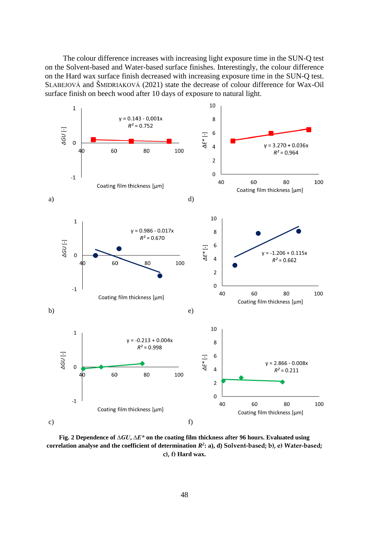The colour difference increases with increasing light exposure time in the SUN-Q test on the Solvent-based and Water-based surface finishes. Interestingly, the colour difference on the Hard wax surface finish decreased with increasing exposure time in the SUN-Q test. SLABEJOVÁ and ŠMIDRIAKOVÁ (2021) state the decrease of colour difference for Wax-Oil surface finish on beech wood after 10 days of exposure to natural light.



**Fig. 2 Dependence of** *∆GU***,** *∆E\** **on the coating film thickness after 96 hours. Evaluated using**  correlation analyse and the coefficient of determination  $R^2$ : a), d) Solvent-based; b), e) Water-based; **c), f) Hard wax.**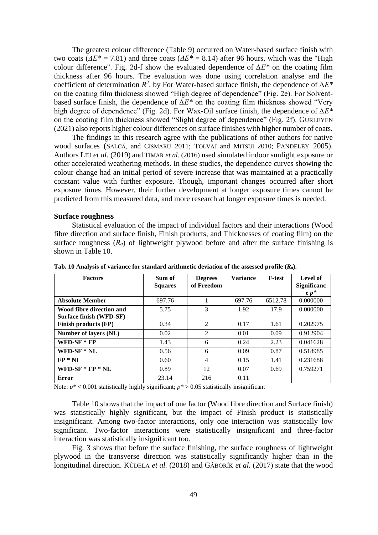The greatest colour difference (Table 9) occurred on Water-based surface finish with two coats ( $\Delta E^* = 7.81$ ) and three coats ( $\Delta E^* = 8.14$ ) after 96 hours, which was the "High" colour difference". Fig. 2d-f show the evaluated dependence of *∆E\** on the coating film thickness after 96 hours. The evaluation was done using correlation analyse and the coefficient of determination *R 2* . by For Water-based surface finish, the dependence of *∆E\** on the coating film thickness showed "High degree of dependence" (Fig. 2e). For Solventbased surface finish, the dependence of *∆E\** on the coating film thickness showed "Very high degree of dependence" (Fig. 2d). For Wax-Oil surface finish, the dependence of *∆E\** on the coating film thickness showed "Slight degree of dependence" (Fig. 2f). GURLEYEN (2021) also reports higher colour differences on surface finishes with higher number of coats.

The findings in this research agree with the publications of other authors for native wood surfaces (SALCĂ, and CISMARU 2011; TOLVAJ and MITSUI 2010; PANDELEY 2005). Authors LIU *et al*. (2019) and TIMAR *et al*. (2016) used simulated indoor sunlight exposure or other accelerated weathering methods. In these studies, the dependence curves showing the colour change had an initial period of severe increase that was maintained at a practically constant value with further exposure. Though, important changes occurred after short exposure times. However, their further development at longer exposure times cannot be predicted from this measured data, and more research at longer exposure times is needed.

## **Surface roughness**

Statistical evaluation of the impact of individual factors and their interactions (Wood fibre direction and surface finish, Finish products, and Thicknesses of coating film) on the surface roughness  $(R_a)$  of lightweight plywood before and after the surface finishing is shown in Table 10.

| <b>Factors</b>           | Sum of<br><b>Squares</b> | <b>Degrees</b><br>of Freedom | Variance | <b>F-test</b> | Level of<br><b>Significanc</b> |
|--------------------------|--------------------------|------------------------------|----------|---------------|--------------------------------|
|                          |                          |                              |          |               | $e p^*$                        |
| <b>Absolute Member</b>   | 697.76                   |                              | 697.76   | 6512.78       | 0.000000                       |
| Wood fibre direction and | 5.75                     | 3                            | 1.92     | 17.9          | 0.000000                       |
| Surface finish (WFD-SF)  |                          |                              |          |               |                                |
| Finish products (FP)     | 0.34                     | $\mathfrak{D}$               | 0.17     | 1.61          | 0.202975                       |
| Number of layers (NL)    | 0.02                     | $\overline{2}$               | 0.01     | 0.09          | 0.912904                       |
| $WFD-SF * FP$            | 1.43                     | 6                            | 0.24     | 2.23          | 0.041628                       |
| WFD-SF $*$ NL            | 0.56                     | 6                            | 0.09     | 0.87          | 0.518985                       |
| $FP * NL$                | 0.60                     | 4                            | 0.15     | 1.41          | 0.231688                       |
| WFD-SF $*$ FP $*$ NL     | 0.89                     | 12                           | 0.07     | 0.69          | 0.759271                       |
| Error                    | 23.14                    | 216                          | 0.11     |               |                                |

**Tab. 10 Analysis of variance for standard arithmetic deviation of the assessed profile (***Ra***).**

Note:  $p^*$  < 0.001 statistically highly significant;  $p^*$  > 0.05 statistically insignificant

Table 10 shows that the impact of one factor (Wood fibre direction and Surface finish) was statistically highly significant, but the impact of Finish product is statistically insignificant. Among two-factor interactions, only one interaction was statistically low significant. Two-factor interactions were statistically insignificant and three-factor interaction was statistically insignificant too.

Fig. 3 shows that before the surface finishing, the surface roughness of lightweight plywood in the transverse direction was statistically significantly higher than in the longitudinal direction. KÚDELA *et al.* (2018) and GÁBORÍK *et al.* (2017) state that the wood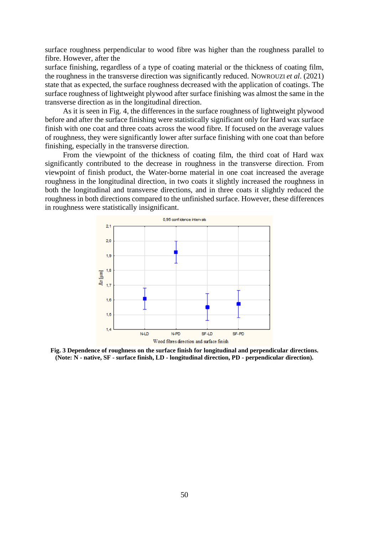surface roughness perpendicular to wood fibre was higher than the roughness parallel to fibre. However, after the

surface finishing, regardless of a type of coating material or the thickness of coating film, the roughness in the transverse direction was significantly reduced. NOWROUZI *et al*. (2021) state that as expected, the surface roughness decreased with the application of coatings. The surface roughness of lightweight plywood after surface finishing was almost the same in the transverse direction as in the longitudinal direction.

As it is seen in Fig. 4, the differences in the surface roughness of lightweight plywood before and after the surface finishing were statistically significant only for Hard wax surface finish with one coat and three coats across the wood fibre. If focused on the average values of roughness, they were significantly lower after surface finishing with one coat than before finishing, especially in the transverse direction.

From the viewpoint of the thickness of coating film, the third coat of Hard wax significantly contributed to the decrease in roughness in the transverse direction. From viewpoint of finish product, the Water-borne material in one coat increased the average roughness in the longitudinal direction, in two coats it slightly increased the roughness in both the longitudinal and transverse directions, and in three coats it slightly reduced the roughness in both directions compared to the unfinished surface. However, these differences in roughness were statistically insignificant.



**Fig. 3 Dependence of roughness on the surface finish for longitudinal and perpendicular directions. (Note: N - native, SF - surface finish, LD - longitudinal direction, PD - perpendicular direction).**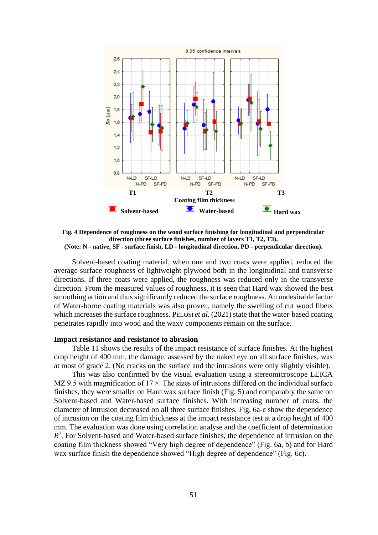

**Fig. 4 Dependence of roughness on the wood surface finishing for longitudinal and perpendicular direction (three surface finishes, number of layers T1, T2, T3). (Note: N - native, SF - surface finish, LD - longitudinal direction, PD - perpendicular direction).**

Solvent-based coating material, when one and two coats were applied, reduced the average surface roughness of lightweight plywood both in the longitudinal and transverse directions. If three coats were applied, the roughness was reduced only in the transverse direction. From the measured values of roughness, it is seen that Hard wax showed the best smoothing action and thus significantly reduced the surface roughness. An undesirable factor of Water-borne coating materials was also proven, namely the swelling of cut wood fibers which increases the surface roughness. PELOSI *et al.* (2021) state that the water-based coating penetrates rapidly into wood and the waxy components remain on the surface.

## **Impact resistance and resistance to abrasion**

Table 11 shows the results of the impact resistance of surface finishes. At the highest drop height of 400 mm, the damage, assessed by the naked eye on all surface finishes, was at most of grade 2. (No cracks on the surface and the intrusions were only slightly visible).

This was also confirmed by the visual evaluation using a stereomicroscope LEICA MZ 9.5 with magnification of  $17 \times$ . The sizes of intrusions differed on the individual surface finishes, they were smaller on Hard wax surface finish (Fig. 5) and comparably the same on Solvent-based and Water-based surface finishes. With increasing number of coats, the diameter of intrusion decreased on all three surface finishes. Fig. 6a-c show the dependence of intrusion on the coating film thickness at the impact resistance test at a drop height of 400 mm. The evaluation was done using correlation analyse and the coefficient of determination  $R<sup>2</sup>$ . For Solvent-based and Water-based surface finishes, the dependence of intrusion on the coating film thickness showed "Very high degree of dependence" (Fig. 6a, b) and for Hard wax surface finish the dependence showed "High degree of dependence" (Fig. 6c).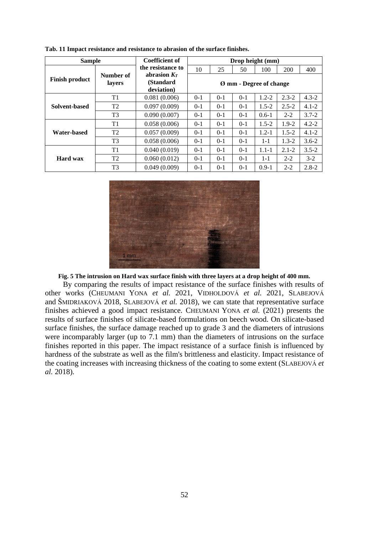|                       |                                                                                                                                                                             | <b>Coefficient of</b>   | Drop height (mm)        |         |       |           |           |           |  |
|-----------------------|-----------------------------------------------------------------------------------------------------------------------------------------------------------------------------|-------------------------|-------------------------|---------|-------|-----------|-----------|-----------|--|
|                       | the resistance to                                                                                                                                                           | 10                      | 25                      | 50      | 100   | 200       | 400       |           |  |
| <b>Finish product</b> | lavers                                                                                                                                                                      | (Standard<br>deviation) | Ø mm - Degree of change |         |       |           |           |           |  |
|                       | T1                                                                                                                                                                          | 0.081(0.006)            | $0 - 1$                 | $0-1$   | $0-1$ | $1.2 - 2$ | $2.3 - 2$ | $4.3 - 2$ |  |
| Solvent-based         | T <sub>2</sub>                                                                                                                                                              | 0.097(0.009)            | $0-1$                   | $0-1$   | $0-1$ | $1.5 - 2$ | $2.5 - 2$ | $4.1 - 2$ |  |
|                       | T <sub>3</sub>                                                                                                                                                              | 0.090(0.007)            | $0 - 1$                 | $0 - 1$ | $0-1$ | $0.6 - 1$ | $2 - 2$   | $3.7 - 2$ |  |
|                       | T1                                                                                                                                                                          | 0.058(0.006)            | $0 - 1$                 | $0 - 1$ | $0-1$ | $1.5 - 2$ | $1.9 - 2$ | $4.2 - 2$ |  |
| Water-based           | T <sub>2</sub>                                                                                                                                                              | 0.057(0.009)            | $0 - 1$                 | $0 - 1$ | $0-1$ | $1.2 - 1$ | $1.5 - 2$ | $4.1 - 2$ |  |
|                       | T <sub>3</sub>                                                                                                                                                              | 0.058(0.006)            | $0 - 1$                 | $0 - 1$ | $0-1$ | $1 - 1$   | $1.3 - 2$ | $3.6 - 2$ |  |
|                       | T1                                                                                                                                                                          | 0.040(0.019)            | $0-1$                   | $0-1$   | $0-1$ | $1.1 - 1$ | $2.1 - 2$ | $3.5 - 2$ |  |
| Hard wax              | <b>Sample</b><br>abrasion $Kr$<br>Number of<br>T <sub>2</sub><br>0.060(0.012)<br>$0-1$<br>$0 - 1$<br>$0-1$<br>T <sub>3</sub><br>0.049(0.009)<br>$0 - 1$<br>$0 - 1$<br>$0-1$ |                         | $1 - 1$                 | $2 - 2$ | $3-2$ |           |           |           |  |
|                       |                                                                                                                                                                             |                         |                         |         |       | $0.9-1$   | $2 - 2$   | $2.8 - 2$ |  |

**Tab. 11 Impact resistance and resistance to abrasion of the surface finishes.**



**Fig. 5 The intrusion on Hard wax surface finish with three layers at a drop height of 400 mm.** 

By comparing the results of impact resistance of the surface finishes with results of other works (CHEUMANI YONA *et al.* 2021, VIDHOLDOVÁ *et al.* 2021, SLABEJOVÁ and ŠMIDRIAKOVÁ 2018, SLABEJOVÁ *et al.* 2018), we can state that representative surface finishes achieved a good impact resistance. CHEUMANI YONA *et al.* (2021) presents the results of surface finishes of silicate-based formulations on beech wood. On silicate-based surface finishes, the surface damage reached up to grade 3 and the diameters of intrusions were incomparably larger (up to 7.1 mm) than the diameters of intrusions on the surface finishes reported in this paper. The impact resistance of a surface finish is influenced by hardness of the substrate as well as the film's brittleness and elasticity. Impact resistance of the coating increases with increasing thickness of the coating to some extent (SLABEJOVÁ *et al.* 2018).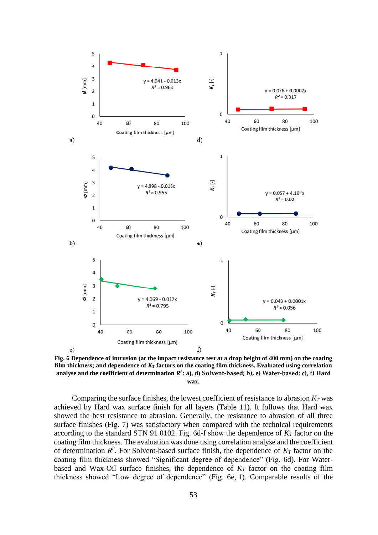

**Fig. 6 Dependence of intrusion (at the impact resistance test at a drop height of 400 mm) on the coating film thickness; and dependence of** *K<sup>T</sup>* **factors on the coating film thickness. Evaluated using correlation analyse and the coefficient of determination** *R 2* **: a), d) Solvent-based; b), e) Water-based; c), f) Hard wax.** 

Comparing the surface finishes, the lowest coefficient of resistance to abrasion  $K<sub>T</sub>$  was achieved by Hard wax surface finish for all layers (Table 11). It follows that Hard wax showed the best resistance to abrasion. Generally, the resistance to abrasion of all three surface finishes (Fig. 7) was satisfactory when compared with the technical requirements according to the standard STN 91 0102. Fig. 6d-f show the dependence of *K<sup>T</sup>* factor on the coating film thickness. The evaluation was done using correlation analyse and the coefficient of determination  $R^2$ . For Solvent-based surface finish, the dependence of  $K_T$  factor on the coating film thickness showed "Significant degree of dependence" (Fig. 6d). For Waterbased and Wax-Oil surface finishes, the dependence of *K<sup>T</sup>* factor on the coating film thickness showed "Low degree of dependence" (Fig. 6e, f). Comparable results of the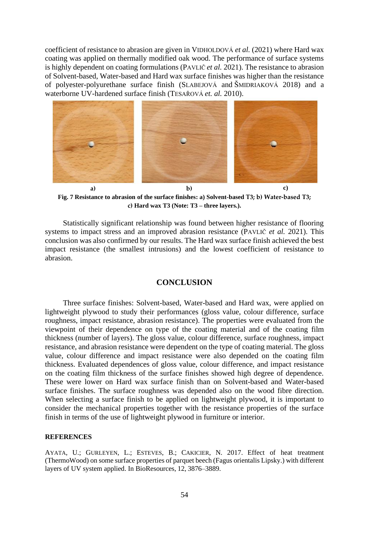coefficient of resistance to abrasion are given in VIDHOLDOVÁ *et al.* (2021) where Hard wax coating was applied on thermally modified oak wood. The performance of surface systems is highly dependent on coating formulations (PAVLIČ *et al.* 2021). The resistance to abrasion of Solvent-based, Water-based and Hard wax surface finishes was higher than the resistance of polyester-polyurethane surface finish (SLABEJOVÁ and ŠMIDRIAKOVÁ 2018) and a waterborne UV-hardened surface finish (TESAŘOVÁ *et. al.* 2010).



**Fig. 7 Resistance to abrasion of the surface finishes: a) Solvent-based T3; b) Water-based T3; c) Hard wax T3 (Note: T3 – three layers.).**

Statistically significant relationship was found between higher resistance of flooring systems to impact stress and an improved abrasion resistance (PAVLIČ *et al.* 2021). This conclusion was also confirmed by our results. The Hard wax surface finish achieved the best impact resistance (the smallest intrusions) and the lowest coefficient of resistance to abrasion.

## **CONCLUSION**

Three surface finishes: Solvent-based, Water-based and Hard wax, were applied on lightweight plywood to study their performances (gloss value, colour difference, surface roughness, impact resistance, abrasion resistance). The properties were evaluated from the viewpoint of their dependence on type of the coating material and of the coating film thickness (number of layers). The gloss value, colour difference, surface roughness, impact resistance, and abrasion resistance were dependent on the type of coating material. The gloss value, colour difference and impact resistance were also depended on the coating film thickness. Evaluated dependences of gloss value, colour difference, and impact resistance on the coating film thickness of the surface finishes showed high degree of dependence. These were lower on Hard wax surface finish than on Solvent-based and Water-based surface finishes. The surface roughness was depended also on the wood fibre direction. When selecting a surface finish to be applied on lightweight plywood, it is important to consider the mechanical properties together with the resistance properties of the surface finish in terms of the use of lightweight plywood in furniture or interior.

## **REFERENCES**

AYATA, U.; GURLEYEN, L.; ESTEVES, B.; CAKICIER, N. 2017. Effect of heat treatment (ThermoWood) on some surface properties of parquet beech (Fagus orientalis Lipsky.) with different layers of UV system applied. In BioResources, 12, 3876–3889.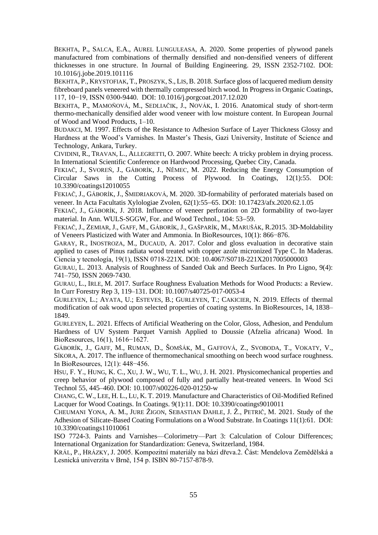BEKHTA, P., SALCA, E.A., AUREL LUNGULEASA, A. 2020. Some properties of plywood panels manufactured from combinations of thermally densified and non-densified veneers of different thicknesses in one structure. In Journal of Building Engineering. 29, ISSN 2352-7102. [DOI:](https://doi.org/10.1016/j.jobe.2019.101116)  [10.1016/j.jobe.2019.101116](https://doi.org/10.1016/j.jobe.2019.101116)

BEKHTA, P., KRYSTOFIAK, T., PROSZYK, S., LIS, B. 2018. Surface gloss of lacquered medium density fibreboard panels veneered with thermally compressed birch wood. In Progress in Organic Coatings, 117, 10−19, ISSN 0300-9440. [DOI: 10.1016/j.porgcoat.2017.12.020](https://doi.org/10.1016/j.porgcoat.2017.12.020)

BEKHTA, P., MAMOŇOVÁ, M., SEDLIAČIK, J., NOVÁK, I. 2016. Anatomical study of short-term thermo-mechanically densified alder wood veneer with low moisture content. In European Journal of Wood and Wood Products, 1–10.

BUDAKCI, M. 1997. Effects of the Resistance to Adhesion Surface of Layer Thickness Glossy and Hardness at the Wood's Varnishes. In Master's Thesis, Gazi University, Institute of Science and Technology, Ankara, Turkey.

CIVIDINI, R., TRAVAN, L., ALLEGRETTI, O. 2007. White beech: A tricky problem in drying process. In International Scientific Conference on Hardwood Processing, Quebec City, Canada.

FEKIAČ, J., SVOREŇ, J., GÁBORÍK, J., NĚMEC, M. 2022. Reducing the Energy Consumption of Circular Saws in the Cutting Process of Plywood. In Coatings, 12(1):55. DOI: 10.3390/coatings12010055

FEKIAČ, J., GÁBORÍK, J., ŠMIDRIAKOVÁ, M. 2020. 3D-formability of perforated materials based on veneer. In Acta Facultatis Xylologiae Zvolen, 62(1):55−65. DOI: 10.17423/afx.2020.62.1.05

FEKIAČ, J., GÁBORÍK, J. 2018. Influence of veneer perforation on 2D formability of two-layer material. In Ann. WULS-SGGW, For. and Wood Technol., 104: 53−59.

FEKIAČ, J., ZEMIAR, J., GAFF, M., GÁBORÍK, J., GAŠPARÍK, M., MARUŠÁK, R.2015. 3D-Moldability of Veneers Plasticized with Water and Ammonia. In BioResources, 10(1): 866−876.

GARAY, R., INOSTROZA, M., DUCAUD, A. 2017. Color and gloss evaluation in decorative stain applied to cases of Pinus radiata wood treated with copper azole micronized Type C. In Maderas. Ciencia y tecnología, 19(1), ISSN 0718-221X. DOI: 10.4067/S0718-221X2017005000003

GURAU, L. 2013. Analysis of Roughness of Sanded Oak and Beech Surfaces. In Pro Ligno, 9(4): 741–750, ISSN 2069-7430.

GURAU, L., IRLE, M. 2017. Surface Roughness Evaluation Methods for Wood Products: a Review. In Curr Forestry Rep 3, 119–131. [DOI: 10.1007/s40725-017-0053-4](https://doi.org/10.1007/s40725-017-0053-4)

GURLEYEN, L.; AYATA, U.; ESTEVES, B.; GURLEYEN, T.; CAKICIER, N. 2019. Effects of thermal modification of oak wood upon selected properties of coating systems. In BioResources, 14, 1838– 1849.

GURLEYEN, L. 2021. Effects of Artificial Weathering on the Color, Gloss, Adhesion, and Pendulum Hardness of UV System Parquet Varnish Applied to Doussie (Afzelia africana) Wood. In BioResources, 16(1), 1616−1627.

GÁBORÍK, J., GAFF, M., RUMAN, D., ŠOMŠÁK, M., GAFFOVÁ, Z., SVOBODA, T., VOKATY, V., SÍKORA, A. 2017. The influence of thermomechanical smoothing on beech wood surface roughness. In BioResources, 12(1): 448−456.

HSU, F. Y., HUNG, K. C., XU, J. W., WU, T. L., WU, J. H. 2021. Physicomechanical properties and creep behavior of plywood composed of fully and partially heat-treated veneers. In Wood Sci Technol 55, 445–460. [DOI: 10.1007/s00226-020-01250-w](https://doi.org/10.1007/s00226-020-01250-w)

CHANG, C. W., LEE, H. L., LU, K. T. 2019. Manufacture and Characteristics of Oil-Modified Refined Lacquer for Wood Coatings. In Coatings. 9(1):11. [DOI: 10.3390/coatings9010011](https://doi.org/10.3390/coatings9010011)

CHEUMANI YONA, A. M., JURE ŽIGON, SEBASTIAN DAHLE, J. Ž., PETRIČ, M. 2021. Study of the Adhesion of Silicate-Based Coating Formulations on a Wood Substrate. In Coatings 11(1):61. [DOI:](https://doi.org/10.3390/coatings11010061)  [10.3390/coatings11010061](https://doi.org/10.3390/coatings11010061)

ISO 7724-3. Paints and Varnishes—Colorimetry—Part 3: Calculation of Colour Differences; International Organization for Standardization: Geneva, Switzerland, 1984.

KRÁL, P., HRÁZKY, J. 2005. Kompozitní materiály na bázi dřeva.2. Část: Mendelova Zemědělská a Lesnická univerzita v Brně, 154 p. ISBN 80-7157-878-9.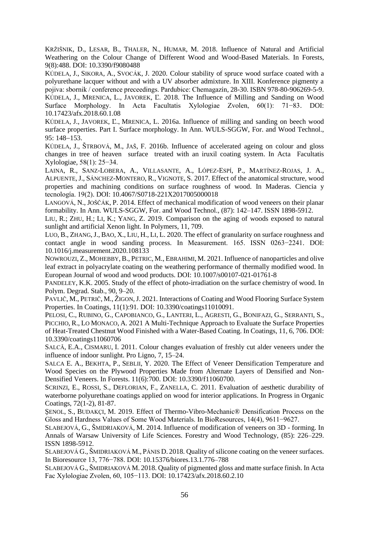KRŽIŠNIK, D., LESAR, B., THALER, N., HUMAR, M. 2018. Influence of Natural and Artificial Weathering on the Colour Change of Different Wood and Wood-Based Materials. In Forests, 9(8):488. DOI: [10.3390/f9080488](https://doi.org/10.3390/f9080488)

KÚDELA, J., SIKORA, A., SVOCÁK, J. 2020. Colour stability of spruce wood surface coated with a polyurethane lacquer without and with a UV absorber admixture. In XIII. Konference pigmenty a pojiva: sbornik / conference preceedings. Pardubice: Chemagazín, 28-30. ISBN 978-80-906269-5-9. KÚDELA, J., MRENICA, L., JAVOREK, Ľ. 2018. The Influence of Milling and Sanding on Wood Surface Morphology. In Acta Facultatis Xylologiae Zvolen, 60(1): 71−83. DOI: 10.17423/afx.2018.60.1.08

KÚDELA, J., JAVOREK, Ľ., MRENICA, L. 2016a. Influence of milling and sanding on beech wood surface properties. Part I. Surface morphology. In Ann. WULS-SGGW, For. and Wood Technol., 95: 148−153.

KÚDELA, J., ŠTRBOVÁ, M., JAŠ, F. 2016b. Influence of accelerated ageing on colour and gloss changes in tree of heaven surface treated with an iruxil coating system. In Acta Facultatis Xylologiae, 58(1): 25−34.

LAINA, R., SANZ-LOBERA, A., VILLASANTE, A., LÓPEZ-ESPÍ, P., MARTÍNEZ-ROJAS, J. A., ALPUENTE, J., SÁNCHEZ-MONTERO, R., VIGNOTE, S. 2017. Effect of the anatomical structure, wood properties and machining conditions on surface roughness of wood. In Maderas. Ciencia y tecnología. 19(2). DOI: 10.4067/S0718-221X2017005000018

LANGOVÁ, N., JOŠČÁK, P. 2014. Effect of mechanical modification of wood veneers on their planar formability. In Ann. WULS-SGGW, For. and Wood Technol., (87): 142–147. ISSN 1898-5912.

LIU, R.; ZHU, H.; LI, K.; YANG, Z. 2019. Comparison on the aging of woods exposed to natural sunlight and artificial Xenon light. In Polymers, 11, 709.

LUO, B., ZHANG,J., BAO, X., LIU, H., LI, L. 2020. The effect of granularity on surface roughness and contact angle in wood sanding process. In Measurement. 165. ISSN 0263−2241. [DOI:](https://doi.org/10.1016/j.measurement.2020.108133)  [10.1016/j.measurement.2020.108133](https://doi.org/10.1016/j.measurement.2020.108133)

NOWROUZI, Z., MOHEBBY, B., PETRIC, M., EBRAHIMI, M. 2021. Influence of nanoparticles and olive leaf extract in polyacrylate coating on the weathering performance of thermally modified wood. In European Journal of wood and wood products. DOI: 10.1007/s00107-021-01761-8

PANDELEY, K.K. 2005. Study of the effect of photo-irradiation on the surface chemistry of wood. In Polym. Degrad. Stab., 90, 9–20.

PAVLIČ, M., PETRIČ, M., ŽIGON, J. 2021. Interactions of Coating and Wood Flooring Surface System Properties. In Coatings, 11(1):91. [DOI: 10.3390/coatings11010091.](https://doi.org/10.3390/coatings11010091)

PELOSI, C., RUBINO, G., CAPOBIANCO, G., LANTERI, L., AGRESTI, G., BONIFAZI, G., SERRANTI, S., PICCHIO, R., LO MONACO, A. 2021 A Multi-Technique Approach to Evaluate the Surface Properties of Heat-Treated Chestnut Wood Finished with a Water-Based Coating. In Coatings, 11, 6, 706. DOI: 10.3390/coatings11060706

SALCĂ, E.A., CISMARU, I. 2011. Colour changes evaluation of freshly cut alder veneers under the influence of indoor sunlight. Pro Ligno, 7, 15–24.

SALCA E. A., BEKHTA, P., SEBLII, Y. 2020. The Effect of Veneer Densification Temperature and Wood Species on the Plywood Properties Made from Alternate Layers of Densified and Non-Densified Veneers. In Forests. 11(6):700. [DOI: 10.3390/f11060700.](https://doi.org/10.3390/f11060700)

SCRINZI, E., ROSSI, S., DEFLORIAN, F., ZANELLA, C. 2011. Evaluation of aesthetic durability of waterborne polyurethane coatings applied on wood for interior applications. In Progress in Organic Coatings, 72(1-2), 81-87.

ŞENOL, S., BUDAKÇI, M. 2019. Effect of Thermo-Vibro-Mechanic® Densification Process on the Gloss and Hardness Values of Some Wood Materials. In BioResources, 14(4), 9611−9627.

SLABEJOVÁ, G., ŠMIDRIAKOVÁ, M. 2014. Influence of modification of veneers on 3D - forming. In Annals of Warsaw University of Life Sciences. Forestry and Wood Technology, (85): 226–229. ISSN 1898-5912.

SLABEJOVÁ G., ŠMIDRIAKOVÁ M., PÁNIS D. 2018. Quality of silicone coating on the veneer surfaces. In Bioresource 13, 776−788. [DOI: 10.15376/biores.13.1.776–788](https://doi.org/10.15376/biores.13.1.776–788)

SLABEJOVÁ G., ŠMIDRIAKOVÁ M. 2018. Quality of pigmented gloss and matte surface finish. In Acta Fac Xylologiae Zvolen, 60, 105−113. DOI: [10.17423/afx.2018.60.2.10](https://doi.org/10.17423/afx.2018.60.2.10)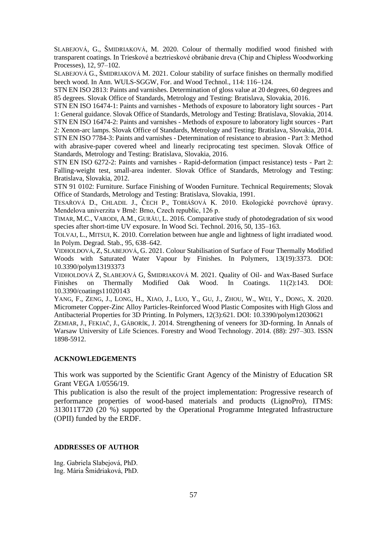SLABEJOVÁ, G., ŠMIDRIAKOVÁ, M. 2020. Colour of thermally modified wood finished with transparent coatings. In Trieskové a beztrieskové obrábanie dreva (Chip and Chipless Woodworking Processes), 12, 97–102.

SLABEJOVÁ G., ŠMIDRIAKOVÁ M. 2021. Colour stability of surface finishes on thermally modified beech wood. In Ann. WULS-SGGW, For. and Wood Technol., 114: 116−124.

STN EN ISO 2813: Paints and varnishes. Determination of gloss value at 20 degrees, 60 degrees and 85 degrees. Slovak Office of Standards, Metrology and Testing: Bratislava, Slovakia, 2016.

STN EN ISO 16474-1: Paints and varnishes - Methods of exposure to laboratory light sources - Part 1: General guidance. Slovak Office of Standards, Metrology and Testing: Bratislava, Slovakia, 2014.

STN EN ISO 16474-2: Paints and varnishes - Methods of exposure to laboratory light sources - Part 2: Xenon-arc lamps. Slovak Office of Standards, Metrology and Testing: Bratislava, Slovakia, 2014.

STN EN ISO 7784-3: Paints and varnishes - Determination of resistance to abrasion - Part 3: Method with abrasive-paper covered wheel and linearly reciprocating test specimen. Slovak Office of Standards, Metrology and Testing: Bratislava, Slovakia, 2016.

STN EN ISO 6272-2: Paints and varnishes - Rapid-deformation (impact resistance) tests - Part 2: Falling-weight test, small-area indenter. Slovak Office of Standards, Metrology and Testing: Bratislava, Slovakia, 2012.

STN 91 0102: Furniture. Surface Finishing of Wooden Furniture. Technical Requirements; Slovak Office of Standards, Metrology and Testing: Bratislava, Slovakia, 1991.

TESAŘOVÁ D., CHLADIL J., ČECH P., TOBIÁŠOVÁ K. 2010. Ekologické povrchové úpravy. Mendelova univerzita v Brně: Brno, Czech republic, 126 p.

TIMAR, M.C., VARODI, A.M., GURĂU, L. 2016. Comparative study of photodegradation of six wood species after short-time UV exposure. In Wood Sci. Technol. 2016, 50, 135–163.

TOLVAJ, L., MITSUI, K. 2010. Correlation between hue angle and lightness of light irradiated wood. In Polym. Degrad. Stab., 95, 638–642.

VIDHOLDOVÁ, Z, SLABEJOVÁ, G. 2021. Colour Stabilisation of Surface of Four Thermally Modified Woods with Saturated Water Vapour by Finishes. In Polymers, 13(19):3373. DOI: 10.3390/polym13193373

VIDHOLDOVÁ Z, SLABEJOVÁ G, ŠMIDRIAKOVÁ M. 2021. Quality of Oil- and Wax-Based Surface Finishes on Thermally Modified Oak Wood. In Coatings. 11(2):143. [DOI:](https://doi.org/10.3390/coatings11020143)  [10.3390/coatings11020143](https://doi.org/10.3390/coatings11020143)

YANG, F., ZENG, J., LONG, H., XIAO, J., LUO, Y., GU, J., ZHOU, W., WEI, Y., DONG, X. 2020. Micrometer Copper-Zinc Alloy Particles-Reinforced Wood Plastic Composites with High Gloss and Antibacterial Properties for 3D Printing. In Polymers, 12(3):621. [DOI: 10.3390/polym12030621](https://doi.org/10.3390/polym12030621)

ZEMIAR, J., FEKIAČ, J., GÁBORÍK, J. 2014. Strengthening of veneers for 3D-forming. In Annals of Warsaw University of Life Sciences. Forestry and Wood Technology. 2014. (88): 297–303. ISSN 1898-5912.

## **ACKNOWLEDGEMENTS**

This work was supported by the Scientific Grant Agency of the Ministry of Education SR Grant VEGA 1/0556/19.

This publication is also the result of the project implementation: Progressive research of performance properties of wood-based materials and products (LignoPro), ITMS: 313011T720 (20 %) supported by the Operational Programme Integrated Infrastructure (OPII) funded by the ERDF.

### **ADDRESSES OF AUTHOR**

Ing. Gabriela Slabejová, PhD. Ing. Mária Šmidriaková, PhD.